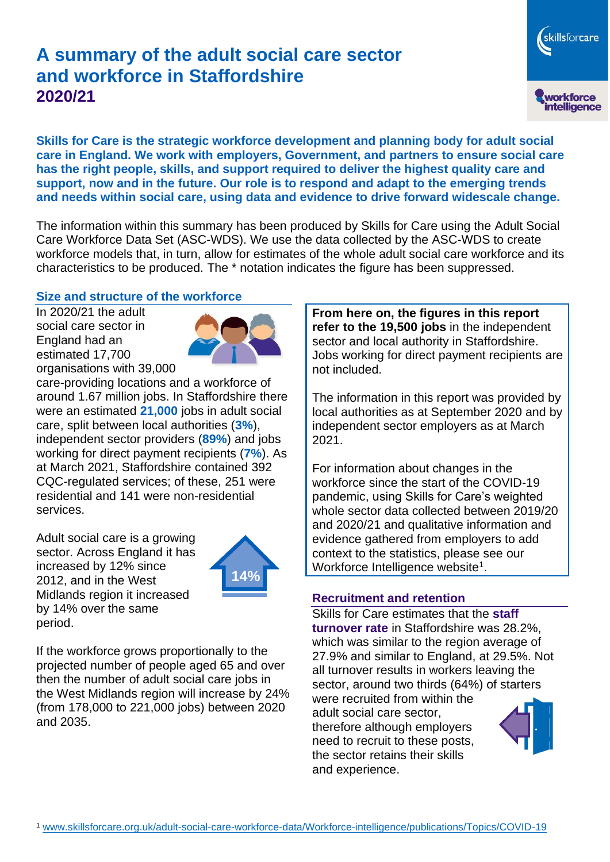# **A summary of the adult social care sector and workforce in Staffordshire 2020/21**

**Skills for Care is the strategic workforce development and planning body for adult social care in England. We work with employers, Government, and partners to ensure social care has the right people, skills, and support required to deliver the highest quality care and support, now and in the future. Our role is to respond and adapt to the emerging trends and needs within social care, using data and evidence to drive forward widescale change.**

The information within this summary has been produced by Skills for Care using the Adult Social Care Workforce Data Set (ASC-WDS). We use the data collected by the ASC-WDS to create workforce models that, in turn, allow for estimates of the whole adult social care workforce and its characteristics to be produced. The \* notation indicates the figure has been suppressed.

### **Size and structure of the workforce**

In 2020/21 the adult social care sector in England had an estimated 17,700 organisations with 39,000



care-providing locations and a workforce of around 1.67 million jobs. In Staffordshire there were an estimated **21,000** jobs in adult social care, split between local authorities (**3%**), independent sector providers (**89%**) and jobs working for direct payment recipients (**7%**). As at March 2021, Staffordshire contained 392 CQC-regulated services; of these, 251 were residential and 141 were non-residential services.

Adult social care is a growing sector. Across England it has increased by 12% since 2012, and in the West Midlands region it increased by 14% over the same period.



If the workforce grows proportionally to the projected number of people aged 65 and over then the number of adult social care jobs in the West Midlands region will increase by 24% (from 178,000 to 221,000 jobs) between 2020 and 2035.

**From here on, the figures in this report refer to the 19,500 jobs** in the independent sector and local authority in Staffordshire. Jobs working for direct payment recipients are not included.

The information in this report was provided by local authorities as at September 2020 and by independent sector employers as at March 2021.

For information about changes in the workforce since the start of the COVID-19 pandemic, using Skills for Care's weighted whole sector data collected between 2019/20 and 2020/21 and qualitative information and evidence gathered from employers to add context to the statistics, please see our Workforce Intelligence website<sup>1</sup>.

#### **Recruitment and retention**

Skills for Care estimates that the **staff turnover rate** in Staffordshire was 28.2%, which was similar to the region average of 27.9% and similar to England, at 29.5%. Not all turnover results in workers leaving the sector, around two thirds (64%) of starters were recruited from within the adult social care sector,

therefore although employers need to recruit to these posts, the sector retains their skills and experience.



skillsforcare

workforce<br>intelligence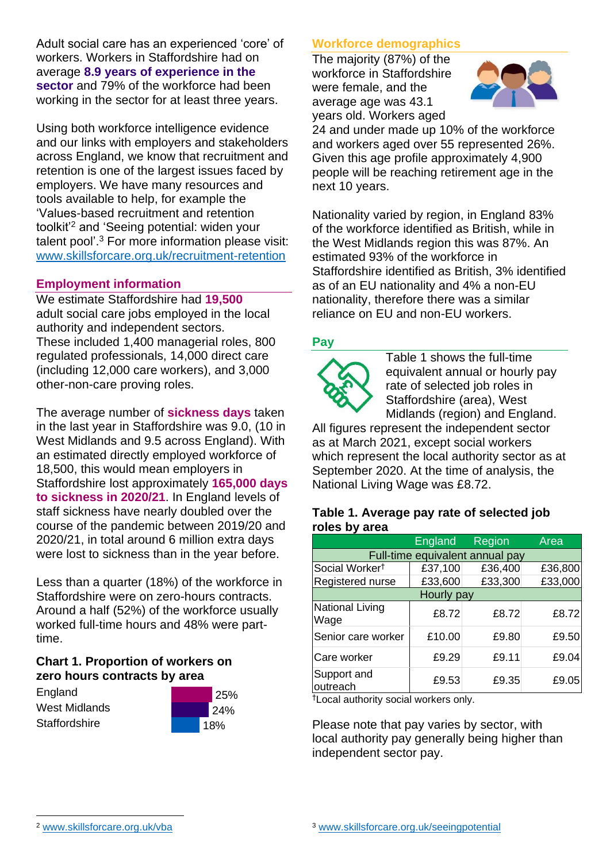Adult social care has an experienced 'core' of workers. Workers in Staffordshire had on average **8.9 years of experience in the sector** and 79% of the workforce had been working in the sector for at least three years.

Using both workforce intelligence evidence and our links with employers and stakeholders across England, we know that recruitment and retention is one of the largest issues faced by employers. We have many resources and tools available to help, for example the 'Values-based recruitment and retention toolkit'<sup>2</sup> and 'Seeing potential: widen your talent pool'. <sup>3</sup> For more information please visit: [www.skillsforcare.org.uk/recruitment-retention](http://www.skillsforcare.org.uk/recruitment-retention)

### **Employment information**

We estimate Staffordshire had **19,500** adult social care jobs employed in the local authority and independent sectors. These included 1,400 managerial roles, 800 regulated professionals, 14,000 direct care (including 12,000 care workers), and 3,000 other-non-care proving roles.

The average number of **sickness days** taken in the last year in Staffordshire was 9.0, (10 in West Midlands and 9.5 across England). With an estimated directly employed workforce of 18,500, this would mean employers in Staffordshire lost approximately **165,000 days to sickness in 2020/21**. In England levels of staff sickness have nearly doubled over the course of the pandemic between 2019/20 and 2020/21, in total around 6 million extra days were lost to sickness than in the year before.

Less than a quarter (18%) of the workforce in Staffordshire were on zero-hours contracts. Around a half (52%) of the workforce usually worked full-time hours and 48% were parttime.

## **Chart 1. Proportion of workers on zero hours contracts by area**

**England** West Midlands **Staffordshire** 



## **Workforce demographics**

The majority (87%) of the workforce in Staffordshire were female, and the average age was 43.1 years old. Workers aged



24 and under made up 10% of the workforce and workers aged over 55 represented 26%. Given this age profile approximately 4,900 people will be reaching retirement age in the next 10 years.

Nationality varied by region, in England 83% of the workforce identified as British, while in the West Midlands region this was 87%. An estimated 93% of the workforce in Staffordshire identified as British, 3% identified as of an EU nationality and 4% a non-EU nationality, therefore there was a similar reliance on EU and non-EU workers.

### **Pay**



Table 1 shows the full-time equivalent annual or hourly pay rate of selected job roles in Staffordshire (area), West Midlands (region) and England.

All figures represent the independent sector as at March 2021, except social workers which represent the local authority sector as at September 2020. At the time of analysis, the National Living Wage was £8.72.

#### **Table 1. Average pay rate of selected job roles by area**

|                                 | <b>England</b> | <b>Region</b> | Area    |
|---------------------------------|----------------|---------------|---------|
| Full-time equivalent annual pay |                |               |         |
| Social Worker <sup>t</sup>      | £37,100        | £36,400       | £36,800 |
| Registered nurse                | £33,600        | £33,300       | £33,000 |
| Hourly pay                      |                |               |         |
| National Living<br>Wage         | £8.72          | £8.72         | £8.72   |
| Senior care worker              | £10.00         | £9.80         | £9.50   |
| Care worker                     | £9.29          | £9.11         | £9.04   |
| Support and<br>outreach         | £9.53          | £9.35         | £9.05   |

†Local authority social workers only.

Please note that pay varies by sector, with local authority pay generally being higher than independent sector pay.

[www.skillsforcare.org.uk/vba](http://www.skillsforcare.org.uk/vba)